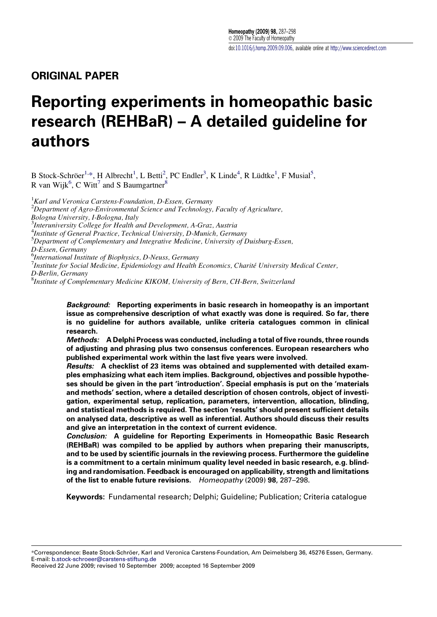# ORIGINAL PAPER

# Reporting experiments in homeopathic basic research (REHBaR) – A detailed guideline for authors

B Stock-Schröer<sup>1,\*</sup>, H Albrecht<sup>1</sup>, L Betti<sup>2</sup>, PC Endler<sup>3</sup>, K Linde<sup>4</sup>, R Lüdtke<sup>1</sup>, F Musial<sup>5</sup>, R van Wijk $^6$ , C Witt<sup>7</sup> and S Baumgartner $^8$ 

<sup>1</sup>Karl and Veronica Carstens-Foundation, D-Essen, Germany  $^{2}$ Department of Agro-Environmental Science and Technology, Faculty of Agriculture, Bologna University, I-Bologna, Italy  ${}^{3}$ Interuniversity College for Health and Development, A-Graz, Austria <sup>4</sup>Institute of General Practice, Technical University, D-Munich, Germany 5 Department of Complementary and Integrative Medicine, University of Duisburg-Essen, D-Essen, Germany 6 International Institute of Biophysics, D-Neuss, Germany  $^7$ Institute for Social Medicine, Epidemiology and Health Economics, Charité University Medical Center, D-Berlin, Germany 8 Institute of Complementary Medicine KIKOM, University of Bern, CH-Bern, Switzerland

> Background: Reporting experiments in basic research in homeopathy is an important issue as comprehensive description of what exactly was done is required. So far, there is no guideline for authors available, unlike criteria catalogues common in clinical research.

> Methods: A Delphi Process was conducted, including a total of five rounds, three rounds of adjusting and phrasing plus two consensus conferences. European researchers who published experimental work within the last five years were involved.

> Results: A checklist of 23 items was obtained and supplemented with detailed examples emphasizing what each item implies. Background, objectives and possible hypotheses should be given in the part 'introduction'. Special emphasis is put on the 'materials and methods' section, where a detailed description of chosen controls, object of investigation, experimental setup, replication, parameters, intervention, allocation, blinding, and statistical methods is required. The section 'results' should present sufficient details on analysed data, descriptive as well as inferential. Authors should discuss their results and give an interpretation in the context of current evidence.

> Conclusion: A guideline for Reporting Experiments in Homeopathic Basic Research (REHBaR) was compiled to be applied by authors when preparing their manuscripts, and to be used by scientific journals in the reviewing process. Furthermore the guideline is a commitment to a certain minimum quality level needed in basic research, e.g. blinding and randomisation. Feedback is encouraged on applicability, strength and limitations of the list to enable future revisions. Homeopathy (2009) 98, 287–298.

> Keywords: Fundamental research; Delphi; Guideline; Publication; Criteria catalogue

\*Correspondence: Beate Stock-Schro¨ er, Karl and Veronica Carstens-Foundation, Am Deimelsberg 36, 45276 Essen, Germany. E-mail: b.stock-schroeer@carstens-stiftung.de

Received 22 June 2009; revised 10 September 2009; accepted 16 September 2009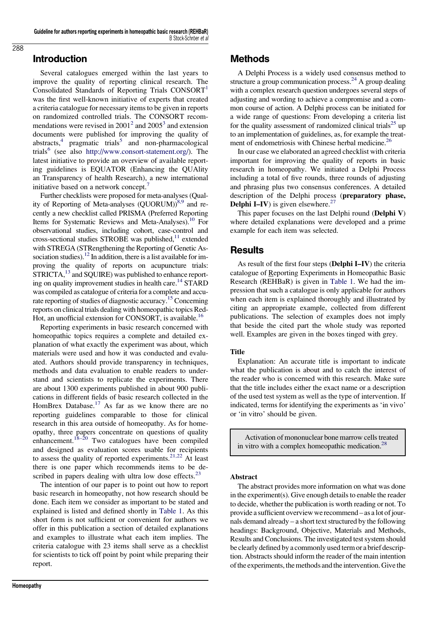# Introduction

288

Several catalogues emerged within the last years to improve the quality of reporting clinical research. The Consolidated Standards of Reporting Trials  $CONSORT<sup>1</sup>$  $CONSORT<sup>1</sup>$  $CONSORT<sup>1</sup>$ was the first well-known initiative of experts that created a criteria catalogue for necessary items to be given in reports on randomized controlled trials. The CONSORT recommendations were revised in  $2001^2$  $2001^2$  and  $2005^3$  $2005^3$  and extension documents were published for improving the quality of  $abstracts<sup>4</sup>$  pragmatic trials<sup>[5](#page-9-0)</sup> and non-pharmacological trials<sup>[6](#page-9-0)</sup> (see also [http://www.consort-statement.org/\)](http://www.consort-statement.org/). The latest initiative to provide an overview of available reporting guidelines is EQUATOR (Enhancing the QUAlity an Transparency of health Research), a new international initiative based on a network concept.

Further checklists were proposed for meta-analyses (Quality of Reporting of Meta-analyses  $(QUORUM)^{8,9}$  and recently a new checklist called PRISMA (Preferred Reporting Items for Systematic Reviews and Meta-Analyses).<sup>[10](#page-10-0)</sup> For observational studies, including cohort, case-control and cross-sectional studies  $STROBE$  was published,<sup>11</sup> extended with STREGA (STRengthening the Reporting of Genetic As-sociation studies).<sup>[12](#page-10-0)</sup> In addition, there is a list available for improving the quality of reports on acupuncture trials: STRICTA,<sup>13</sup> and SQUIRE) was published to enhance reporting on quality improvement studies in health care.<sup>14</sup> STARD was compiled as catalogue of criteria for a complete and accurate reporting of studies of diagnostic accuracy[.15](#page-10-0) Concerning reports on clinical trials dealing with homeopathic topics Red-Hot, an unofficial extension for CONSORT, is available.<sup>[16](#page-10-0)</sup>

Reporting experiments in basic research concerned with homeopathic topics requires a complete and detailed explanation of what exactly the experiment was about, which materials were used and how it was conducted and evaluated. Authors should provide transparency in techniques, methods and data evaluation to enable readers to understand and scientists to replicate the experiments. There are about 1300 experiments published in about 900 publications in different fields of basic research collected in the HomBrex Database.<sup>[17](#page-10-0)</sup> As far as we know there are no reporting guidelines comparable to those for clinical research in this area outside of homeopathy. As for homeopathy, three papers concentrate on questions of quality enhancement. $18-20$  Two catalogues have been compiled and designed as evaluation scores usable for recipients to assess the quality of reported experiments.<sup>21,22</sup> At least there is one paper which recommends items to be described in papers dealing with ultra low dose effects. $^{23}$  $^{23}$  $^{23}$ 

The intention of our paper is to point out how to report basic research in homeopathy, not how research should be done. Each item we consider as important to be stated and explained is listed and defined shortly in [Table 1.](#page-9-0) As this short form is not sufficient or convenient for authors we offer in this publication a section of detailed explanations and examples to illustrate what each item implies. The criteria catalogue with 23 items shall serve as a checklist for scientists to tick off point by point while preparing their report.

# Methods

A Delphi Process is a widely used consensus method to structure a group communication process.<sup>[24](#page-10-0)</sup> A group dealing with a complex research question undergoes several steps of adjusting and wording to achieve a compromise and a common course of action. A Delphi process can be initiated for a wide range of questions: From developing a criteria list for the quality assessment of randomized clinical trials<sup>25</sup> up to an implementation of guidelines, as, for example the treatment of endometriosis with Chinese herbal medicine.<sup>26</sup>

In our case we elaborated an agreed checklist with criteria important for improving the quality of reports in basic research in homeopathy. We initiated a Delphi Process including a total of five rounds, three rounds of adjusting and phrasing plus two consensus conferences. A detailed description of the Delphi process (preparatory phase, **Delphi I–IV**) is given elsewhere.<sup>[27](#page-10-0)</sup>

This paper focuses on the last Delphi round (Delphi V) where detailed explanations were developed and a prime example for each item was selected.

# **Results**

As result of the first four steps (Delphi I–IV) the criteria catalogue of Reporting Experiments in Homeopathic Basic Research (REHBaR) is given in [Table 1](#page-9-0). We had the impression that such a catalogue is only applicable for authors when each item is explained thoroughly and illustrated by citing an appropriate example, collected from different publications. The selection of examples does not imply that beside the cited part the whole study was reported well. Examples are given in the boxes tinged with grey.

#### Title

Explanation: An accurate title is important to indicate what the publication is about and to catch the interest of the reader who is concerned with this research. Make sure that the title includes either the exact name or a description of the used test system as well as the type of intervention. If indicated, terms for identifying the experiments as 'in vivo' or 'in vitro' should be given.

Activation of mononuclear bone marrow cells treated in vitro with a complex homeopathic medication. $^{28}$  $^{28}$  $^{28}$ 

#### Abstract

The abstract provides more information on what was done in the experiment(s). Give enough details to enable the reader to decide, whether the publication is worth reading or not. To provide a sufficient overview we recommend – as a lot of journals demand already – a short text structured by the following headings: Background, Objective, Materials and Methods, Results and Conclusions. The investigated test system should be clearly defined by a commonly used term or a brief description. Abstracts should inform the reader of the main intention of the experiments, the methods and the intervention. Give the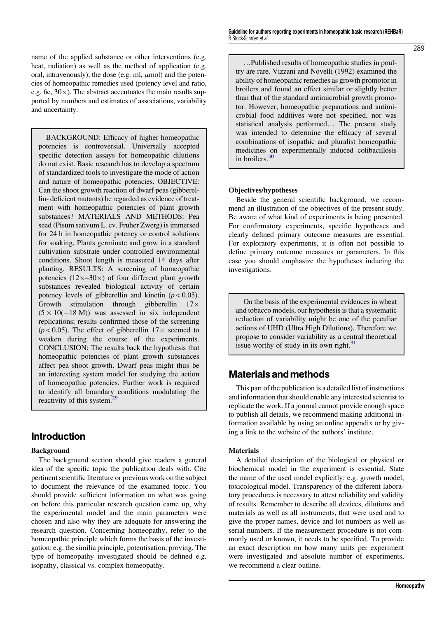name of the applied substance or other interventions (e.g. heat, radiation) as well as the method of application (e.g. oral, intravenously), the dose (e.g. ml,  $\mu$ mol) and the potencies of homeopathic remedies used (potency level and ratio, e.g. 6c,  $30\times$ ). The abstract accentuates the main results supported by numbers and estimates of associations, variability and uncertainty.

BACKGROUND: Efficacy of higher homeopathic potencies is controversial. Universally accepted specific detection assays for homeopathic dilutions do not exist. Basic research has to develop a spectrum of standardized tools to investigate the mode of action and nature of homeopathic potencies. OBJECTIVE: Can the shoot growth reaction of dwarf peas (gibberellin- deficient mutants) be regarded as evidence of treatment with homeopathic potencies of plant growth substances? MATERIALS AND METHODS: Pea seed (Pisum sativum L. cv. Fruher Zwerg) is immersed for 24 h in homeopathic potency or control solutions for soaking. Plants germinate and grow in a standard cultivation substrate under controlled environmental conditions. Shoot length is measured 14 days after planting. RESULTS: A screening of homeopathic potencies  $(12\times-30\times)$  of four different plant growth substances revealed biological activity of certain potency levels of gibberellin and kinetin  $(p < 0.05)$ . Growth stimulation through gibberellin  $17 \times$  $(5 \times 10(-18 \text{ M}))$  was assessed in six independent replications; results confirmed those of the screening  $(p < 0.05)$ . The effect of gibberellin  $17 \times$  seemed to weaken during the course of the experiments. CONCLUSION: The results back the hypothesis that homeopathic potencies of plant growth substances affect pea shoot growth. Dwarf peas might thus be an interesting system model for studying the action of homeopathic potencies. Further work is required to identify all boundary conditions modulating the reactivity of this system.<sup>[29](#page-10-0)</sup>

# Introduction

#### Background

The background section should give readers a general idea of the specific topic the publication deals with. Cite pertinent scientific literature or previous work on the subject to document the relevance of the examined topic. You should provide sufficient information on what was going on before this particular research question came up, why the experimental model and the main parameters were chosen and also why they are adequate for answering the research question. Concerning homeopathy, refer to the homeopathic principle which forms the basis of the investigation: e.g. the similia principle, potentisation, proving. The type of homeopathy investigated should be defined e.g. isopathy, classical vs. complex homeopathy.

.Published results of homeopathic studies in poultry are rare. Vizzani and Novelli (1992) examined the ability of homeopathic remedies as growth promotor in broilers and found an effect similar or slightly better than that of the standard antimicrobial growth promotor. However, homeopathic preparations and antimicrobial food additives were not specified, nor was statistical analysis performed... The present study was intended to determine the efficacy of several combinations of isopathic and pluralist homeopathic medicines on experimentally induced colibacillosis in broilers.[30](#page-10-0)

#### Objectives/hypotheses

Beside the general scientific background, we recommend an illustration of the objectives of the present study. Be aware of what kind of experiments is being presented. For confirmatory experiments, specific hypotheses and clearly defined primary outcome measures are essential. For exploratory experiments, it is often not possible to define primary outcome measures or parameters. In this case you should emphasize the hypotheses inducing the investigations.

On the basis of the experimental evidences in wheat and tobacco models, our hypothesis is that a systematic reduction of variability might be one of the peculiar actions of UHD (Ultra High Dilutions). Therefore we propose to consider variability as a central theoretical issue worthy of study in its own right. $31$ 

## Materialsandmethods

This part of the publication is a detailed list of instructions and information that should enable any interested scientist to replicate the work. If a journal cannot provide enough space to publish all details, we recommend making additional information available by using an online appendix or by giving a link to the website of the authors' institute.

#### Materials

A detailed description of the biological or physical or biochemical model in the experiment is essential. State the name of the used model explicitly: e.g. growth model, toxicological model. Transparency of the different laboratory procedures is necessary to attest reliability and validity of results. Remember to describe all devices, dilutions and materials as well as all instruments, that were used and to give the proper names, device and lot numbers as well as serial numbers. If the measurement procedure is not commonly used or known, it needs to be specified. To provide an exact description on how many units per experiment were investigated and absolute number of experiments, we recommend a clear outline.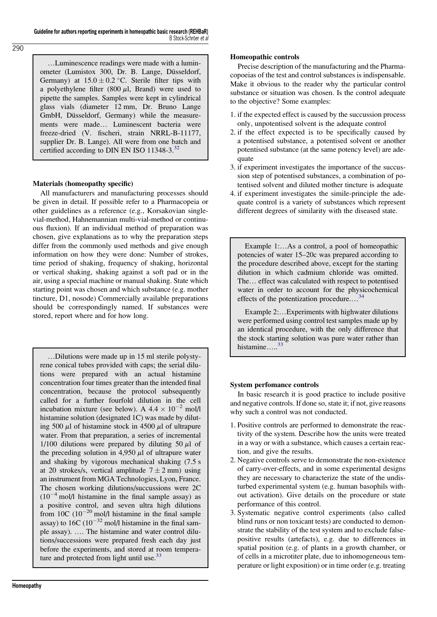.Luminescence readings were made with a luminometer (Lumistox 300, Dr. B. Lange, Düsseldorf, Germany) at  $15.0 \pm 0.2$  °C. Sterile filter tips with a polyethylene filter (800  $\mu$ l, Brand) were used to pipette the samples. Samples were kept in cylindrical glass vials (diameter 12 mm, Dr. Bruno Lange GmbH, Düsseldorf, Germany) while the measurements were made... Luminescent bacteria were freeze-dried (V. fischeri, strain NRRL-B-11177, supplier Dr. B. Lange). All were from one batch and certified according to DIN EN ISO 11348-3.<sup>[32](#page-10-0)</sup>

#### Materials (homeopathy specific)

All manufacturers and manufacturing processes should be given in detail. If possible refer to a Pharmacopeia or other guidelines as a reference (e.g., Korsakovian singlevial-method, Hahnemannian multi-vial-method or continuous fluxion). If an individual method of preparation was chosen, give explanations as to why the preparation steps differ from the commonly used methods and give enough information on how they were done: Number of strokes, time period of shaking, frequency of shaking, horizontal or vertical shaking, shaking against a soft pad or in the air, using a special machine or manual shaking. State which starting point was chosen and which substance (e.g. mother tincture, D1, nosode) Commercially available preparations should be correspondingly named. If substances were stored, report where and for how long.

.Dilutions were made up in 15 ml sterile polystyrene conical tubes provided with caps; the serial dilutions were prepared with an actual histamine concentration four times greater than the intended final concentration, because the protocol subsequently called for a further fourfold dilution in the cell incubation mixture (see below). A  $4.4 \times 10^{-2}$  mol/l histamine solution (designated 1C) was made by diluting 500  $\mu$ l of histamine stock in 4500  $\mu$ l of ultrapure water. From that preparation, a series of incremental 1/100 dilutions were prepared by diluting 50  $\mu$ l of the preceding solution in 4,950  $\mu$ l of ultrapure water and shaking by vigorous mechanical shaking (7.5 s at 20 strokes/s, vertical amplitude  $7 \pm 2$  mm) using an instrument from MGA Technologies, Lyon, France. The chosen working dilutions/succussions were 2C  $(10^{-4}$  mol/l histamine in the final sample assay) as a positive control, and seven ultra high dilutions from 10C  $(10^{-20} \text{ mol/l})$  histamine in the final sample assay) to  $16C (10^{-32} \text{ mol/l}$  histamine in the final sample assay). .... The histamine and water control dilutions/successions were prepared fresh each day just before the experiments, and stored at room temperature and protected from light until use. $33$ 

#### Homeopathic controls

Precise description of the manufacturing and the Pharmacopoeias of the test and control substances is indispensable. Make it obvious to the reader why the particular control substance or situation was chosen. Is the control adequate to the objective? Some examples:

- 1. if the expected effect is caused by the succussion process only, unpotentised solvent is the adequate control
- 2. if the effect expected is to be specifically caused by a potentised substance, a potentised solvent or another potentised substance (at the same potency level) are adequate
- 3. if experiment investigates the importance of the succussion step of potentised substances, a combination of potentised solvent and diluted mother tincture is adequate
- 4. if experiment investigates the simile-principle the adequate control is a variety of substances which represent different degrees of similarity with the diseased state.

Example 1:...As a control, a pool of homeopathic potencies of water 15–20c was prepared according to the procedure described above, except for the starting dilution in which cadmium chloride was omitted. The... effect was calculated with respect to potentised water in order to account for the physicochemical effects of the potentization procedure....<sup>[34](#page-10-0)</sup>

Example 2:...Experiments with highwater dilutions were performed using control test samples made up by an identical procedure, with the only difference that the stock starting solution was pure water rather than histamine.....<sup>[33](#page-10-0)</sup>

#### System perfomance controls

In basic research it is good practice to include positive and negative controls. If done so, state it; if not, give reasons why such a control was not conducted.

- 1. Positive controls are performed to demonstrate the reactivity of the system. Describe how the units were treated in a way or with a substance, which causes a certain reaction, and give the results.
- 2. Negative controls serve to demonstrate the non-existence of carry-over-effects, and in some experimental designs they are necessary to characterize the state of the undisturbed experimental system (e.g. human basophils without activation). Give details on the procedure or state performance of this control.
- 3. Systematic negative control experiments (also called blind runs or non toxicant tests) are conducted to demonstrate the stability of the test system and to exclude falsepositive results (artefacts), e.g. due to differences in spatial position (e.g. of plants in a growth chamber, or of cells in a microtiter plate, due to inhomogeneous temperature or light exposition) or in time order (e.g. treating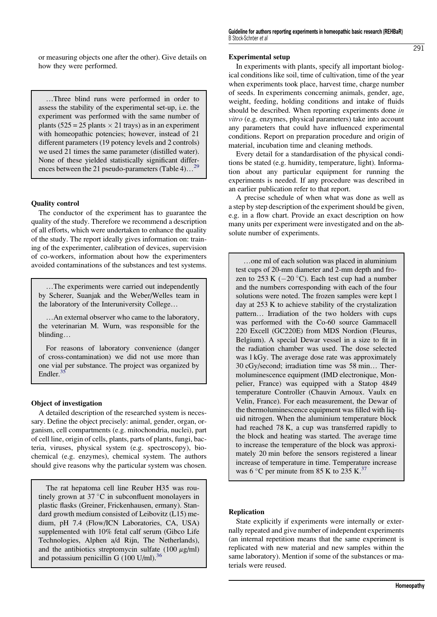or measuring objects one after the other). Give details on how they were performed.

.Three blind runs were performed in order to assess the stability of the experimental set-up, i.e. the experiment was performed with the same number of plants  $(525 = 25$  plants  $\times$  21 trays) as in an experiment with homeopathic potencies; however, instead of 21 different parameters (19 potency levels and 2 controls) we used 21 times the same parameter (distilled water). None of these yielded statistically significant differ-ences between the 21 pseudo-parameters (Table 4)...<sup>[29](#page-10-0)</sup>

#### Quality control

The conductor of the experiment has to guarantee the quality of the study. Therefore we recommend a description of all efforts, which were undertaken to enhance the quality of the study. The report ideally gives information on: training of the experimenter, calibration of devices, supervision of co-workers, information about how the experimenters avoided contaminations of the substances and test systems.

.The experiments were carried out independently by Scherer, Suanjak and the Weber/Welles team in the laboratory of the Interuniversity College.

.An external observer who came to the laboratory, the veterinarian M. Wurn, was responsible for the blinding.

For reasons of laboratory convenience (danger of cross-contamination) we did not use more than one vial per substance. The project was organized by Endler.<sup>[35](#page-10-0)</sup>

#### Object of investigation

A detailed description of the researched system is necessary. Define the object precisely: animal, gender, organ, organism, cell compartments (e.g. mitochondria, nuclei), part of cell line, origin of cells, plants, parts of plants, fungi, bacteria, viruses, physical system (e.g. spectroscopy), biochemical (e.g. enzymes), chemical system. The authors should give reasons why the particular system was chosen.

The rat hepatoma cell line Reuber H35 was routinely grown at  $37^{\circ}$ C in subconfluent monolayers in plastic flasks (Greiner, Frickenhausen, ermany). Standard growth medium consisted of Leibovitz (L15) medium, pH 7.4 (Flow/ICN Laboratories, CA, USA) supplemented with 10% fetal calf serum (Gibco Life Technologies, Alphen a/d Rijn, The Netherlands), and the antibiotics streptomycin sulfate (100  $\mu$ g/ml) and potassium penicillin G  $(100 \text{ U/ml})^{36}$  $(100 \text{ U/ml})^{36}$  $(100 \text{ U/ml})^{36}$ 

#### Experimental setup

In experiments with plants, specify all important biological conditions like soil, time of cultivation, time of the year when experiments took place, harvest time, charge number of seeds. In experiments concerning animals, gender, age, weight, feeding, holding conditions and intake of fluids should be described. When reporting experiments done in vitro (e.g. enzymes, physical parameters) take into account any parameters that could have influenced experimental conditions. Report on preparation procedure and origin of material, incubation time and cleaning methods.

Every detail for a standardisation of the physical conditions be stated (e.g. humidity, temperature, light). Information about any particular equipment for running the experiments is needed. If any procedure was described in an earlier publication refer to that report.

A precise schedule of when what was done as well as a step by step description of the experiment should be given, e.g. in a flow chart. Provide an exact description on how many units per experiment were investigated and on the absolute number of experiments.

...one ml of each solution was placed in aluminium test cups of 20-mm diameter and 2-mm depth and frozen to 253 K  $(-20 \degree C)$ . Each test cup had a number and the numbers corresponding with each of the four solutions were noted. The frozen samples were kept l day at 253 K to achieve stability of the crystalization pattern... Irradiation of the two holders with cups was performed with the Co-60 source Gammacell 220 Excell (GC220E) from MDS Nordion (Fleurus, Belgium). A special Dewar vessel in a size to fit in the radiation chamber was used. The dose selected was l kGy. The average dose rate was approximately 30 cGy/second; irradiation time was 58 min... Thermoluminescence equipment (IMD electronique, Monpelier, France) was equipped with a Statop 4849 temperature Controller (Chauvin Arnoux. Vaulx en Velin, France). For each measurement, the Dewar of the thermoluminescence equipment was filled with liquid nitrogen. When the aluminium temperature block had reached 78 K, a cup was transferred rapidly to the block and heating was started. The average time to increase the temperature of the block was approximately 20 min before the sensors registered a linear increase of temperature in time. Temperature increase was 6  $\rm{^{\circ}C}$  per minute from 85 K to 235 K.<sup>37</sup>

#### Replication

State explicitly if experiments were internally or externally repeated and give number of independent experiments (an internal repetition means that the same experiment is replicated with new material and new samples within the same laboratory). Mention if some of the substances or materials were reused.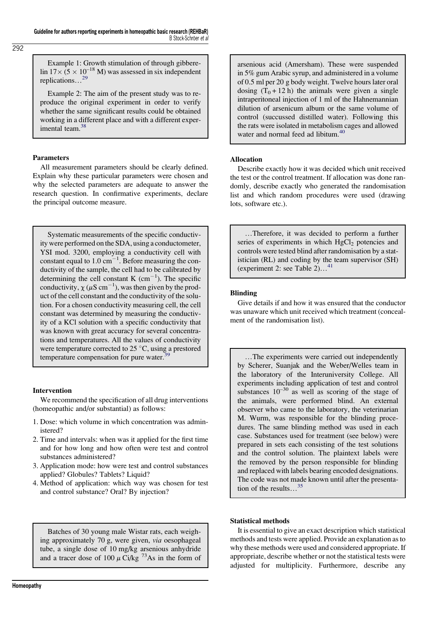Example 1: Growth stimulation of through gibberelin  $17 \times (5 \times 10^{-18} \text{ M})$  was assessed in six independent replications...<sup>[29](#page-10-0)</sup>

Example 2: The aim of the present study was to reproduce the original experiment in order to verify whether the same significant results could be obtained working in a different place and with a different experimental team.[38](#page-10-0)

#### Parameters

All measurement parameters should be clearly defined. Explain why these particular parameters were chosen and why the selected parameters are adequate to answer the research question. In confirmative experiments, declare the principal outcome measure.

Systematic measurements of the specific conductivity were performed on the SDA, using a conductometer, YSI mod. 3200, employing a conductivity cell with constant equal to  $1.0 \text{ cm}^{-1}$ . Before measuring the conductivity of the sample, the cell had to be calibrated by determining the cell constant K  $(cm<sup>-1</sup>)$ . The specific conductivity,  $\chi$  ( $\mu$ S cm<sup>-1</sup>), was then given by the product of the cell constant and the conductivity of the solution. For a chosen conductivity measuring cell, the cell constant was determined by measuring the conductivity of a KCl solution with a specific conductivity that was known with great accuracy for several concentrations and temperatures. All the values of conductivity were temperature corrected to  $25^{\circ}$ C, using a prestored temperature compensation for pure water.<sup>[39](#page-10-0)</sup>

#### Intervention

We recommend the specification of all drug interventions (homeopathic and/or substantial) as follows:

- 1. Dose: which volume in which concentration was administered?
- 2. Time and intervals: when was it applied for the first time and for how long and how often were test and control substances administered?
- 3. Application mode: how were test and control substances applied? Globules? Tablets? Liquid?
- 4. Method of application: which way was chosen for test and control substance? Oral? By injection?

Batches of 30 young male Wistar rats, each weighing approximately 70 g, were given, via oesophageal tube, a single dose of 10 mg/kg arsenious anhydride and a tracer dose of 100  $\mu$  Ci/kg <sup>73</sup>As in the form of arsenious acid (Amersham). These were suspended in 5% gum Arabic syrup, and administered in a volume of 0.5 ml per 20 g body weight. Twelve hours later oral dosing  $(T_0 + 12 h)$  the animals were given a single intraperitoneal injection of 1 ml of the Hahnemannian dilution of arsenicum album or the same volume of control (succussed distilled water). Following this the rats were isolated in metabolism cages and allowed water and normal feed ad libitum.<sup>[40](#page-10-0)</sup>

#### Allocation

Describe exactly how it was decided which unit received the test or the control treatment. If allocation was done randomly, describe exactly who generated the randomisation list and which random procedures were used (drawing lots, software etc.).

.Therefore, it was decided to perform a further series of experiments in which  $HgCl<sub>2</sub>$  potencies and controls were tested blind after randomisation by a statistician (RL) and coding by the team supervisor (SH) (experiment 2: see Table 2)...<sup>[41](#page-10-0)</sup>

#### Blinding

Give details if and how it was ensured that the conductor was unaware which unit received which treatment (concealment of the randomisation list).

.The experiments were carried out independently by Scherer, Suanjak and the Weber/Welles team in the laboratory of the Interuniversity College. All experiments including application of test and control substances  $10^{-30}$  as well as scoring of the stage of the animals, were performed blind. An external observer who came to the laboratory, the veterinarian M. Wurm, was responsible for the blinding procedures. The same blinding method was used in each case. Substances used for treatment (see below) were prepared in sets each consisting of the test solutions and the control solution. The plaintext labels were the removed by the person responsible for blinding and replaced with labels bearing encoded designations. The code was not made known until after the presentation of the results... $^{35}$  $^{35}$  $^{35}$ 

#### Statistical methods

It is essential to give an exact description which statistical methods and tests were applied. Provide an explanation as to why these methods were used and considered appropriate. If appropriate, describe whether or not the statistical tests were adjusted for multiplicity. Furthermore, describe any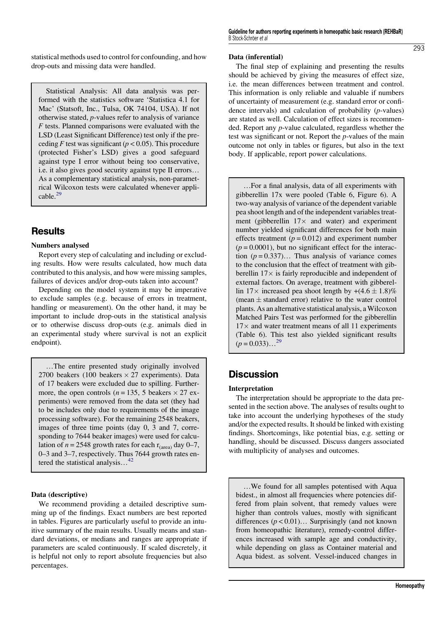statistical methods used to control for confounding, and how drop-outs and missing data were handled.

Statistical Analysis: All data analysis was performed with the statistics software 'Statistica 4.1 for Mac' (Statsoft, Inc., Tulsa, OK 74104, USA). If not otherwise stated, p-values refer to analysis of variance F tests. Planned comparisons were evaluated with the LSD (Least Significant Difference) test only if the preceding F test was significant ( $p < 0.05$ ). This procedure (protected Fisher's LSD) gives a good safeguard against type I error without being too conservative, i.e. it also gives good security against type II errors. As a complementary statistical analysis, non-parametrical Wilcoxon tests were calculated whenever applicable.[29](#page-10-0)

# **Results**

## Numbers analysed

Report every step of calculating and including or excluding results. How were results calculated, how much data contributed to this analysis, and how were missing samples, failures of devices and/or drop-outs taken into account?

Depending on the model system it may be imperative to exclude samples (e.g. because of errors in treatment, handling or measurement). On the other hand, it may be important to include drop-outs in the statistical analysis or to otherwise discuss drop-outs (e.g. animals died in an experimental study where survival is not an explicit endpoint).

...The entire presented study originally involved 2700 beakers (100 beakers  $\times$  27 experiments). Data of 17 beakers were excluded due to spilling. Furthermore, the open controls ( $n = 135$ , 5 beakers  $\times$  27 experiments) were removed from the data set (they had to be includes only due to requirements of the image processing software). For the remaining 2548 beakers, images of three time points (day 0, 3 and 7, corresponding to 7644 beaker images) were used for calculation of  $n = 2548$  growth rates for each r<sub>(area)</sub> day 0–7, 0–3 and 3–7, respectively. Thus 7644 growth rates entered the statistical analysis... $^{42}$  $^{42}$  $^{42}$ 

#### Data (descriptive)

We recommend providing a detailed descriptive summing up of the findings. Exact numbers are best reported in tables. Figures are particularly useful to provide an intuitive summary of the main results. Usually means and standard deviations, or medians and ranges are appropriate if parameters are scaled continuously. If scaled discretely, it is helpful not only to report absolute frequencies but also percentages.

## Data (inferential)

The final step of explaining and presenting the results should be achieved by giving the measures of effect size, i.e. the mean differences between treatment and control. This information is only reliable and valuable if numbers of uncertainty of measurement (e.g. standard error or confidence intervals) and calculation of probability (p-values) are stated as well. Calculation of effect sizes is recommended. Report any p-value calculated, regardless whether the test was significant or not. Report the p-values of the main outcome not only in tables or figures, but also in the text body. If applicable, report power calculations.

.For a final analysis, data of all experiments with gibberellin 17x were pooled (Table 6, Figure 6). A two-way analysis of variance of the dependent variable pea shoot length and of the independent variables treatment (gibberellin  $17\times$  and water) and experiment number yielded significant differences for both main effects treatment ( $p = 0.012$ ) and experiment number  $(p = 0.0001)$ , but no significant effect for the interaction  $(p = 0.337)$ ... Thus analysis of variance comes to the conclusion that the effect of treatment with gibberellin  $17\times$  is fairly reproducible and independent of external factors. On average, treatment with gibberellin  $17\times$  increased pea shoot length by  $+(4.6 \pm 1.8)\%$ (mean  $\pm$  standard error) relative to the water control plants. As an alternative statistical analysis, a Wilcoxon Matched Pairs Test was performed for the gibberellin  $17\times$  and water treatment means of all 11 experiments (Table 6). This test also yielded significant results  $(p = 0.033)...^{29}$  $(p = 0.033)...^{29}$  $(p = 0.033)...^{29}$ 

# **Discussion**

## Interpretation

The interpretation should be appropriate to the data presented in the section above. The analyses of results ought to take into account the underlying hypotheses of the study and/or the expected results. It should be linked with existing findings. Shortcomings, like potential bias, e.g. setting or handling, should be discussed. Discuss dangers associated with multiplicity of analyses and outcomes.

.We found for all samples potentised with Aqua bidest., in almost all frequencies where potencies differed from plain solvent, that remedy values were higher than controls values, mostly with significant differences  $(p < 0.01)$ ... Surprisingly (and not known from homeopathic literature), remedy-control differences increased with sample age and conductivity, while depending on glass as Container material and Aqua bidest. as solvent. Vessel-induced changes in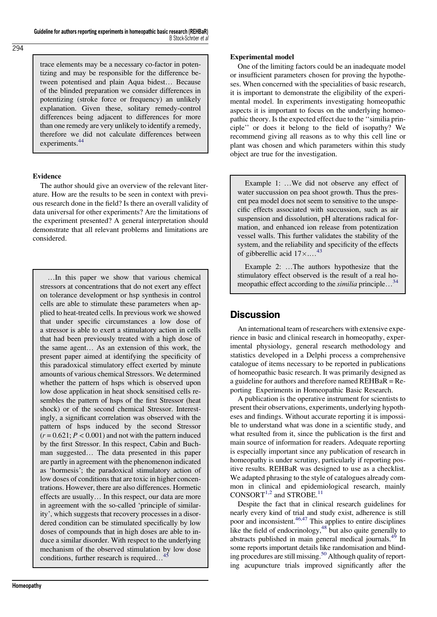trace elements may be a necessary co-factor in potentizing and may be responsible for the difference between potentised and plain Aqua bidest... Because of the blinded preparation we consider differences in potentizing (stroke force or frequency) an unlikely explanation. Given these, solitary remedy-control differences being adjacent to differences for more than one remedy are very unlikely to identify a remedy, therefore we did not calculate differences between experiments.<sup>[44](#page-10-0)</sup>

#### Evidence

The author should give an overview of the relevant literature. How are the results to be seen in context with previous research done in the field? Is there an overall validity of data universal for other experiments? Are the limitations of the experiment presented? A general interpretation should demonstrate that all relevant problems and limitations are considered.

.In this paper we show that various chemical stressors at concentrations that do not exert any effect on tolerance development or hsp synthesis in control cells are able to stimulate these parameters when applied to heat-treated cells. In previous work we showed that under specific circumstances a low dose of a stressor is able to exert a stimulatory action in cells that had been previously treated with a high dose of the same agent... As an extension of this work, the present paper aimed at identifying the specificity of this paradoxical stimulatory effect exerted by minute amounts of various chemical Stressors. We determined whether the pattern of hsps which is observed upon low dose application in heat shock sensitised cells resembles the pattern of hsps of the first Stressor (heat shock) or of the second chemical Stressor. Interestingly, a significant correlation was observed with the pattern of hsps induced by the second Stressor  $(r = 0.621; P < 0.001)$  and not with the pattern induced by the first Stressor. In this respect, Cabin and Buchman suggested. The data presented in this paper are partly in agreement with the phenomenon indicated as 'hormesis'; the paradoxical stimulatory action of low doses of conditions that are toxic in higher concentrations. However, there are also differences. Hormetic effects are usually. In this respect, our data are more in agreement with the so-called 'principle of similarity', which suggests that recovery processes in a disordered condition can be stimulated specifically by low doses of compounds that in high doses are able to induce a similar disorder. With respect to the underlying mechanism of the observed stimulation by low dose conditions, further research is required. $4.5$ 

#### Experimental model

One of the limiting factors could be an inadequate model or insufficient parameters chosen for proving the hypotheses. When concerned with the specialities of basic research, it is important to demonstrate the eligibility of the experimental model. In experiments investigating homeopathic aspects it is important to focus on the underlying homeopathic theory. Is the expected effect due to the ''similia principle'' or does it belong to the field of isopathy? We recommend giving all reasons as to why this cell line or plant was chosen and which parameters within this study object are true for the investigation.

Example 1: ...We did not observe any effect of water succussion on pea shoot growth. Thus the present pea model does not seem to sensitive to the unspecific effects associated with succussion, such as air suspension and dissolution, pH alterations radical formation, and enhanced ion release from potentization vessel walls. This further validates the stability of the system, and the reliability and specificity of the effects of gibberellic acid  $17 \times \dots^{43}$  $17 \times \dots^{43}$  $17 \times \dots^{43}$ 

Example 2: ...The authors hypothesize that the stimulatory effect observed is the result of a real homeopathic effect according to the *similia* principle...<sup>5</sup>

## **Discussion**

An international team of researchers with extensive experience in basic and clinical research in homeopathy, experimental physiology, general research methodology and statistics developed in a Delphi process a comprehensive catalogue of items necessary to be reported in publications of homeopathic basic research. It was primarily designed as a guideline for authors and therefore named REHBaR = Reporting Experiments in Homeopathic Basic Research.

A publication is the operative instrument for scientists to present their observations, experiments, underlying hypotheses and findings. Without accurate reporting it is impossible to understand what was done in a scientific study, and what resulted from it, since the publication is the first and main source of information for readers. Adequate reporting is especially important since any publication of research in homeopathy is under scrutiny, particularly if reporting positive results. REHBaR was designed to use as a checklist. We adapted phrasing to the style of catalogues already common in clinical and epidemiological research, mainly  $CONSORT^{1,2}$  $CONSORT^{1,2}$  $CONSORT^{1,2}$  and  $STROBE.<sup>11</sup>$  $STROBE.<sup>11</sup>$ </sup>

Despite the fact that in clinical research guidelines for nearly every kind of trial and study exist, adherence is still poor and inconsistent[.46,47](#page-11-0) This applies to entire disciplines like the field of endocrinology, $48$  but also quite generally to abstracts published in main general medical journals.<sup>49</sup> In some reports important details like randomisation and blinding procedures are still missing.<sup>50</sup> Although quality of reporting acupuncture trials improved significantly after the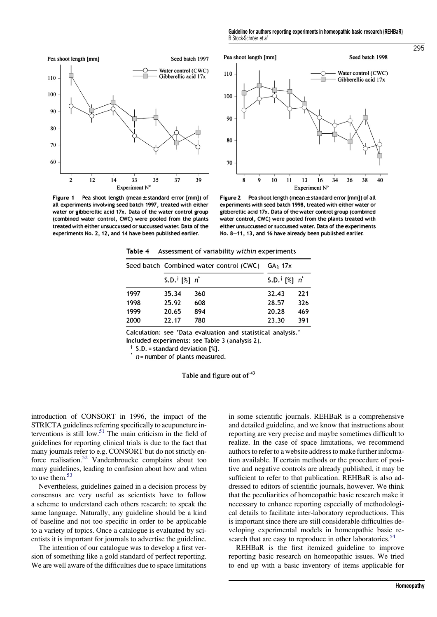Guideline for authors reporting experiments in homeopathic basic research (REHBaR) B Stock-Schröer et al





Figure 1 Pea shoot length (mean  $\pm$  standard error [mm]) of all experiments involving seed batch 1997, treated with either water or gibberellic acid 17x. Data of the water control group (combined water control, CWC) were pooled from the plants treated with either unsuccussed or succussed water. Data of the experiments No. 2, 12, and 14 have been published earlier.

Figure 2 Pea shoot length (mean  $\pm$  standard error [mm]) of all experiments with seed batch 1998, treated with either water or gibberellic acid 17x. Data of the water control group (combined water control, CWC) were pooled from the plants treated with either unsuccussed or succussed water. Data of the experiments No. 8-11, 13, and 16 have already been published earlier.

Table 4 Assessment of variability within experiments

|      |                                    | Seed batch Combined water control (CWC) |                                             | GA <sub>3</sub> 17x |  |
|------|------------------------------------|-----------------------------------------|---------------------------------------------|---------------------|--|
|      | S.D. <sup>†</sup> [%] $n^{\prime}$ |                                         | S.D. <sup>†</sup> [%] <i>n</i> <sup>*</sup> |                     |  |
| 1997 | 35.34                              | 360                                     | 32.43                                       | 221                 |  |
| 1998 | 25.92                              | 608                                     | 28.57                                       | 326                 |  |
| 1999 | 20.65                              | 894                                     | 20.28                                       | 469                 |  |
| 2000 | 22.17                              | 780                                     | 23.30                                       | 391                 |  |

Calculation: see 'Data evaluation and statistical analysis.' Included experiments: see Table 3 (analysis 2).

 $\dagger$  S.D. = standard deviation [%].

 $n$  = number of plants measured.

Table and figure out of <sup>43</sup>

introduction of CONSORT in 1996, the impact of the STRICTA guidelines referring specifically to acupuncture interventions is still low.<sup>51</sup> The main criticism in the field of guidelines for reporting clinical trials is due to the fact that many journals refer to e.g. CONSORT but do not strictly enforce realisation.[52](#page-11-0) Vandenbroucke complains about too many guidelines, leading to confusion about how and when to use them.<sup>53</sup>

Nevertheless, guidelines gained in a decision process by consensus are very useful as scientists have to follow a scheme to understand each others research: to speak the same language. Naturally, any guideline should be a kind of baseline and not too specific in order to be applicable to a variety of topics. Once a catalogue is evaluated by scientists it is important for journals to advertise the guideline.

The intention of our catalogue was to develop a first version of something like a gold standard of perfect reporting. We are well aware of the difficulties due to space limitations in some scientific journals. REHBaR is a comprehensive and detailed guideline, and we know that instructions about reporting are very precise and maybe sometimes difficult to realize. In the case of space limitations, we recommend authors to refer to a website address to make further information available. If certain methods or the procedure of positive and negative controls are already published, it may be sufficient to refer to that publication. REHBaR is also addressed to editors of scientific journals, however. We think that the peculiarities of homeopathic basic research make it necessary to enhance reporting especially of methodological details to facilitate inter-laboratory reproductions. This is important since there are still considerable difficulties developing experimental models in homeopathic basic re-search that are easy to reproduce in other laboratories.<sup>[54](#page-11-0)</sup>

REHBaR is the first itemized guideline to improve reporting basic research on homeopathic issues. We tried to end up with a basic inventory of items applicable for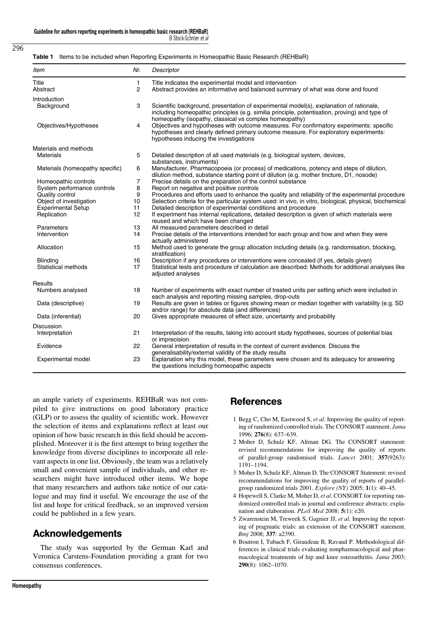B Stock-Schröer et al

<span id="page-9-0"></span>296

|  | Table 1 Items to be included when Reporting Experiments in Homeopathic Basic Research (REHBaR) |  |  |  |
|--|------------------------------------------------------------------------------------------------|--|--|--|
|--|------------------------------------------------------------------------------------------------|--|--|--|

| ltem                            | Nr.            | Descriptor                                                                                                                                                                                                                                         |
|---------------------------------|----------------|----------------------------------------------------------------------------------------------------------------------------------------------------------------------------------------------------------------------------------------------------|
| Title                           | $\mathbf{1}$   | Title indicates the experimental model and intervention                                                                                                                                                                                            |
| Abstract                        | $\overline{2}$ | Abstract provides an informative and balanced summary of what was done and found                                                                                                                                                                   |
| <b>Introduction</b>             |                |                                                                                                                                                                                                                                                    |
| Background                      | 3              | Scientific background, presentation of experimental model(s), explanation of rationale,<br>including homeopathic principles (e.g. similia principle, potentisation, proving) and type of<br>homeopathy (isopathy, classical vs complex homeopathy) |
| Objectives/Hypotheses           | 4              | Objectives and hypotheses with outcome measures. For confirmatory experiments: specific<br>hypotheses and clearly defined primary outcome measure. For exploratory experiments:<br>hypotheses inducing the investigations                          |
| Materials and methods           |                |                                                                                                                                                                                                                                                    |
| <b>Materials</b>                | 5              | Detailed description of all used materials (e.g. biological system, devices,<br>substances, instruments)                                                                                                                                           |
| Materials (homeopathy specific) | 6              | Manufacturer, Pharmacopoeia (or process) of medications, potency and steps of dilution,<br>dilution method, substance starting point of dilution (e.g. mother tincture, D1, nosode)                                                                |
| Homeopathic controls            | $\overline{7}$ | Precise details on the preparation of the control substance                                                                                                                                                                                        |
| System performance controls     | 8              | Report on negative and positive controls                                                                                                                                                                                                           |
| Quality control                 | 9              | Procedures and efforts used to enhance the quality and reliability of the experimental procedure                                                                                                                                                   |
| Object of investigation         | 10             | Selection criteria for the particular system used: in vivo, in vitro, biological, physical, biochemical                                                                                                                                            |
| <b>Experimental Setup</b>       | 11             | Detailed description of experimental conditions and procedure                                                                                                                                                                                      |
| Replication                     | 12             | If experiment has internal replications, detailed description is given of which materials were<br>reused and which have been changed                                                                                                               |
| Parameters                      | 13             | All measured parameters described in detail                                                                                                                                                                                                        |
| Intervention                    | 14             | Precise details of the interventions intended for each group and how and when they were<br>actually administered                                                                                                                                   |
| Allocation                      | 15             | Method used to generate the group allocation including details (e.g. randomisation, blocking,<br>stratification)                                                                                                                                   |
| <b>Blinding</b>                 | 16             | Description if any procedures or interventions were concealed (if yes, details given)                                                                                                                                                              |
| <b>Statistical methods</b>      | 17             | Statistical tests and procedure of calculation are described: Methods for additional analyses like<br>adjusted analyses                                                                                                                            |
| Results                         |                |                                                                                                                                                                                                                                                    |
| Numbers analysed                | 18             | Number of experiments with exact number of treated units per setting which were included in<br>each analysis and reporting missing samples, drop-outs                                                                                              |
| Data (descriptive)              | 19             | Results are given in tables or figures showing mean or median together with variability (e.g. SD<br>and/or range) for absolute data (and differences)                                                                                              |
| Data (inferential)              | 20             | Gives appropriate measures of effect size, uncertainty and probability                                                                                                                                                                             |
| Discussion                      |                |                                                                                                                                                                                                                                                    |
| Interpretation                  | 21             | Interpretation of the results, taking into account study hypotheses, sources of potential bias<br>or imprecision                                                                                                                                   |
| Evidence                        | 22             | General interpretation of results in the context of current evidence. Discuss the<br>generalisability/external validity of the study results                                                                                                       |
| Experimental model              | 23             | Explanation why this model, these parameters were chosen and its adequacy for answering<br>the questions including homeopathic aspects                                                                                                             |

an ample variety of experiments. REHBaR was not compiled to give instructions on good laboratory practice (GLP) or to assess the quality of scientific work. However the selection of items and explanations reflect at least our opinion of how basic research in this field should be accomplished. Moreover it is the first attempt to bring together the knowledge from diverse disciplines to incorporate all relevant aspects in one list. Obviously, the team was a relatively small and convenient sample of individuals, and other researchers might have introduced other items. We hope that many researchers and authors take notice of our catalogue and may find it useful. We encourage the use of the list and hope for critical feedback, so an improved version could be published in a few years.

# Acknowledgements

The study was supported by the German Karl and Veronica Carstens-Foundation providing a grant for two consensus conferences.

# **References**

- 1 Begg C, Cho M, Eastwood S, et al. Improving the quality of reporting of randomized controlled trials. The CONSORT statement. Jama 1996; 276(8): 637–639.
- 2 Moher D, Schulz KF, Altman DG. The CONSORT statement: revised recommendations for improving the quality of reports of parallel-group randomised trials. Lancet 2001; 357(9263): 1191–1194.
- 3 Moher D, Schulz KF, Altman D. The CONSORT Statement: revised recommendations for improving the quality of reports of parallelgroup randomized trials  $2001$ . Explore (NY)  $2005$ ;  $1(1)$ :  $40-45$ .
- 4 Hopewell S, Clarke M, Moher D, et al. CONSORT for reporting randomized controlled trials in journal and conference abstracts: explanation and elaboration. PLoS Med 2008; 5(1): e20.
- 5 Zwarenstein M, Treweek S, Gagnier JJ, et al. Improving the reporting of pragmatic trials: an extension of the CONSORT statement. Bmj 2008; 337: a2390.
- 6 Boutron I, Tubach F, Giraudeau B, Ravaud P. Methodological differences in clinical trials evaluating nonpharmacological and pharmacological treatments of hip and knee osteoarthritis. Jama 2003; 290(8): 1062–1070.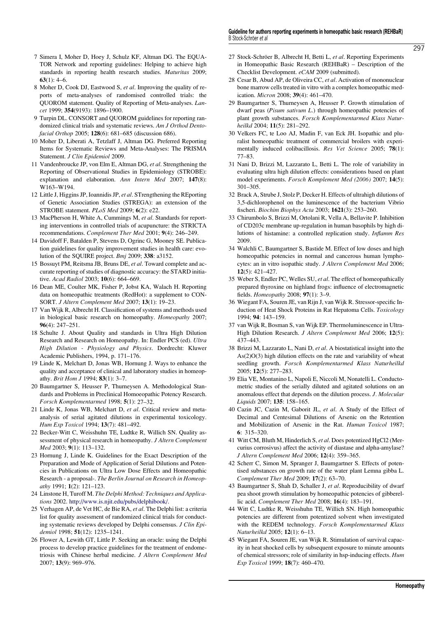- <span id="page-10-0"></span>7 Simera I, Moher D, Hoey J, Schulz KF, Altman DG. The EQUA-TOR Network and reporting guidelines: Helping to achieve high standards in reporting health research studies. Maturitas 2009; 63 $(1)$ : 4–6.
- 8 Moher D, Cook DJ, Eastwood S, et al. Improving the quality of reports of meta-analyses of randomised controlled trials: the QUOROM statement. Quality of Reporting of Meta-analyses. Lancet 1999; 354(9193): 1896-1900.
- 9 Turpin DL. CONSORT and QUOROM guidelines for reporting randomized clinical trials and systematic reviews. Am J Orthod Dentofacial Orthop 2005; 128(6): 681–685 (discussion 686).
- 10 Moher D, Liberati A, Tetzlaff J, Altman DG. Preferred Reporting Items for Systematic Reviews and Meta-Analyses: The PRISMA Statement. J Clin Epidemiol 2009.
- 11 Vandenbroucke JP, von Elm E, Altman DG, et al. Strengthening the Reporting of Observational Studies in Epidemiology (STROBE): explanation and elaboration. Ann Intern Med 2007; 147(8): W163–W194.
- 12 Little J, Higgins JP, Ioannidis JP, et al. STrengthening the REporting of Genetic Association Studies (STREGA): an extension of the STROBE statement. PLoS Med 2009: 6(2): e22.
- 13 MacPherson H, White A, Cummings M, et al. Standards for reporting interventions in controlled trials of acupuncture: the STRICTA recommendations. Complement Ther Med 2001; 9(4): 246–249.
- 14 Davidoff F, Batalden P, Stevens D, Ogrinc G, Mooney SE. Publication guidelines for quality improvement studies in health care: evolution of the SQUIRE project. Bmj 2009; 338: a3152.
- 15 Bossuyt PM, Reitsma JB, Bruns DE, et al. Toward complete and accurate reporting of studies of diagnostic accuracy: the STARD initiative. Acad Radiol 2003; 10(6): 664–669.
- 16 Dean ME, Coulter MK, Fisher P, Jobst KA, Walach H. Reporting data on homeopathic treatments (RedHot): a supplement to CON-SORT. J Altern Complement Med 2007; 13(1): 19–23.
- 17 Van Wijk R, Albrecht H. Classification of systems and methods used in biological basic research on homeopathy. Homeopathy 2007; 96(4): 247–251.
- 18 Schulte J. About Quality and standards in Ultra High Dilution Research and Research on Homeopathy. In: Endler PCS (ed). Ultra High Dilution - Physiology and Physics. Dordrecht: Kluwer Academic Publishers, 1994, p. 171–176.
- 19 Linde K, Melchart D, Jonas WB, Hornung J. Ways to enhance the quality and acceptance of clinical and laboratory studies in homeopathy. Brit Hom J 1994; 83(1): 3–7.
- 20 Baumgartner S, Heusser P, Thurneysen A. Methodological Standards and Problems in Preclinical Homoeopathic Potency Research. Forsch Komplementarmed 1998; 5(1): 27–32.
- 21 Linde K, Jonas WB, Melchart D, et al. Critical review and metaanalysis of serial agitated dilutions in experimental toxicology. Hum Exp Toxicol 1994; 13(7): 481–492.
- 22 Becker-Witt C, Weisshuhn TE, Ludtke R, Willich SN. Quality assessment of physical research in homeopathy. J Altern Complement Med 2003; 9(1): 113–132.
- 23 Hornung J, Linde K. Guidelines for the Exact Description of the Preparation and Mode of Application of Serial Dilutions and Potencies in Publications on Ultra Low Dose Effects and Homeopathic Research - a proposal-. The Berlin Journal on Research in Homeopathy 1991; 1(2): 121–123.
- 24 Linstone H, Turoff M. The Delphi Method: Techniques and Applications 2002. http://www.is.njit.edu/pubs/delphibook/.
- 25 Verhagen AP, de Vet HC, de Bie RA, et al. The Delphi list: a criteria list for quality assessment of randomized clinical trials for conducting systematic reviews developed by Delphi consensus. J Clin Epidemiol 1998; 51(12): 1235–1241.
- 26 Flower A, Lewith GT, Little P. Seeking an oracle: using the Delphi process to develop practice guidelines for the treatment of endometriosis with Chinese herbal medicine. J Altern Complement Med 2007; 13(9): 969–976.
- 27 Stock-Schröer B, Albrecht H, Betti L, et al. Reporting Experiments in Homeopathic Basic Research (REHBaR) – Description of the Checklist Development. eCAM 2009 (submitted).
- 28 Cesar B, Abud AP, de Oliveira CC, et al. Activation of mononuclear bone marrow cells treated in vitro with a complex homeopathic medication. Micron 2008; 39(4): 461–470.
- 29 Baumgartner S, Thurneysen A, Heusser P. Growth stimulation of dwarf peas ( $Pisum$  sativum  $L$ .) through homeopathic potencies of plant growth substances. Forsch Komplementarmed Klass Naturheilkd 2004; 11(5): 281–292.
- 30 Velkers FC, te Loo AJ, Madin F, van Eck JH. Isopathic and pluralist homeopathic treatment of commercial broilers with experimentally induced colibacillosis. Res Vet Science 2005; 78(1): 77–83.
- 31 Nani D, Brizzi M, Lazzarato L, Betti L. The role of variability in evaluating ultra high dilution effects: considerations based on plant model experiments. Forsch Komplement Med (2006) 2007; 14(5): 301–305.
- 32 Brack A, Strube J, Stolz P, Decker H. Effects of ultrahigh dilutions of 3,5-dichlorophenol on the luminescence of the bacterium Vibrio fischeri. Biochim Biophys Acta 2003; 1621(3): 253–260.
- 33 Chirumbolo S, Brizzi M, Ortolani R, Vella A, Bellavite P. Inhibition of CD203c membrane up-regulation in human basophils by high dilutions of histamine: a controlled replication study. Inflamm Res 2009.
- 34 Walchli C, Baumgartner S, Bastide M. Effect of low doses and high homeopathic potencies in normal and cancerous human lymphocytes: an in vitro isopathic study. J Altern Complement Med 2006; 12(5): 421–427.
- 35 Weber S, Endler PC, Welles SU, et al. The effect of homeopathically prepared thyroxine on highland frogs: influence of electromagnetic fields. Homeopathy 2008; 97(1): 3–9.
- 36 Wiegant FA, Souren JE, van Rijn J, van Wijk R. Stressor-specific Induction of Heat Shock Proteins in Rat Hepatoma Cells. Toxicology 1994; 94: 143–159.
- 37 van Wijk R, Bosman S, van Wijk EP. Thermoluminescence in Ultra-High Dilution Research. J Altern Complement Med 2006; 12(5): 437–443.
- 38 Brizzi M, Lazzarato L, Nani D, et al. A biostatistical insight into the As(2)O(3) high dilution effects on the rate and variability of wheat seedling growth. Forsch Komplementarmed Klass Naturheilkd 2005; 12(5): 277–283.
- 39 Elia VE, Montanino L, Napoli E, Niccoli M, Nonatelli L. Conductometric studies of the serially diluted and agitated solutions on an anomalous effect that depends on the dilution process. J. Molecular Liquids 2007; 135: 158–165.
- 40 Cazin JC, Cazin M, Gaborit JL, et al. A Study of the Effect of Decimal and Centesimal Dilutions of Arsenic on the Retention and Mobilization of Arsenic in the Rat. Human Toxicol 1987;  $6: 315 - 320$
- 41 Witt CM, Bluth M, Hinderlich S, et al. Does potentized HgCl2 (Mercurius corrosivus) affect the activity of diastase and alpha-amylase? J Altern Complement Med 2006; 12(4): 359–365.
- 42 Scherr C, Simon M, Spranger J, Baumgartner S. Effects of potentised substances on growth rate of the water plant Lemna gibba L. Complement Ther Med 2009; 17(2): 63–70.
- 43 Baumgartner S, Shah D, Schaller J, et al. Reproducibility of dwarf pea shoot growth stimulation by homeopathic potencies of gibberellic acid. Complement Ther Med 2008; 16(4): 183–191.
- 44 Witt C, Ludtke R, Weisshuhn TE, Willich SN. High homeopathic potencies are different from potentized solvent when investigated with the REDEM technology. Forsch Komplementarmed Klass Naturheilkd 2005; 12(1): 6–13.
- 45 Wiegant FA, Souren JE, van Wijk R. Stimulation of survival capacity in heat shocked cells by subsequent exposure to minute amounts of chemical stressors; role of similarity in hsp-inducing effects. Hum Exp Toxicol 1999; 18(7): 460–470.